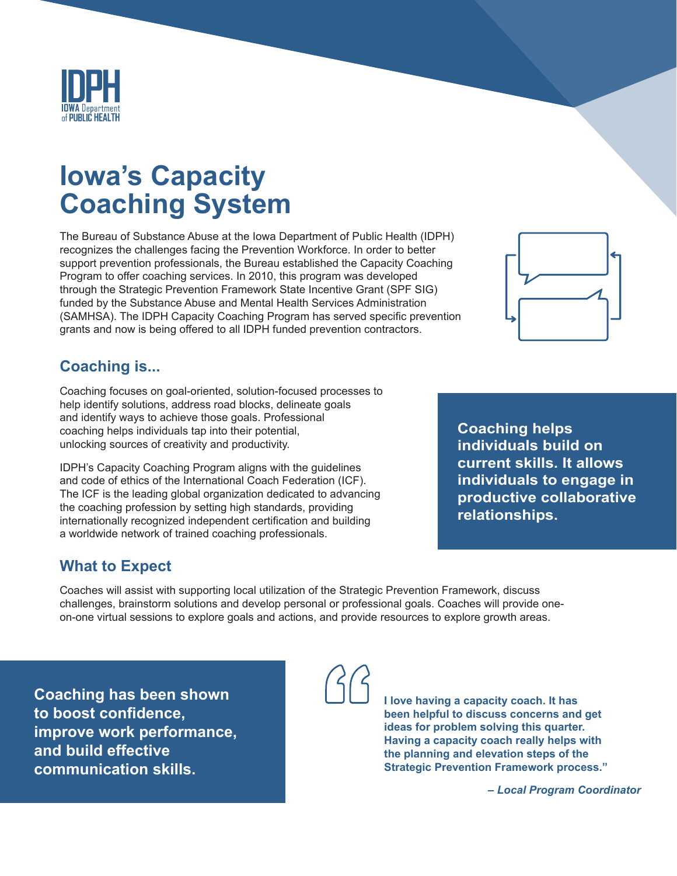

# **Iowa's Capacity Coaching System**

The Bureau of Substance Abuse at the Iowa Department of Public Health (IDPH) recognizes the challenges facing the Prevention Workforce. In order to better support prevention professionals, the Bureau established the Capacity Coaching Program to offer coaching services. In 2010, this program was developed through the Strategic Prevention Framework State Incentive Grant (SPF SIG) funded by the Substance Abuse and Mental Health Services Administration (SAMHSA). The IDPH Capacity Coaching Program has served specific prevention grants and now is being offered to all IDPH funded prevention contractors.

# **Coaching is...**

Coaching focuses on goal-oriented, solution-focused processes to help identify solutions, address road blocks, delineate goals and identify ways to achieve those goals. Professional coaching helps individuals tap into their potential, unlocking sources of creativity and productivity.

IDPH's Capacity Coaching Program aligns with the guidelines and code of ethics of the International Coach Federation (ICF). The ICF is the leading global organization dedicated to advancing the coaching profession by setting high standards, providing internationally recognized independent certification and building a worldwide network of trained coaching professionals.

# **What to Expect**

Coaches will assist with supporting local utilization of the Strategic Prevention Framework, discuss challenges, brainstorm solutions and develop personal or professional goals. Coaches will provide oneon-one virtual sessions to explore goals and actions, and provide resources to explore growth areas.

**Coaching has been shown to boost confidence, improve work performance, and build effective communication skills.** 

**I love having a capacity coach. It has been helpful to discuss concerns and get ideas for problem solving this quarter. Having a capacity coach really helps with the planning and elevation steps of the Strategic Prevention Framework process."**

*– Local Program Coordinator*



**Coaching helps individuals build on current skills. It allows individuals to engage in productive collaborative relationships.**